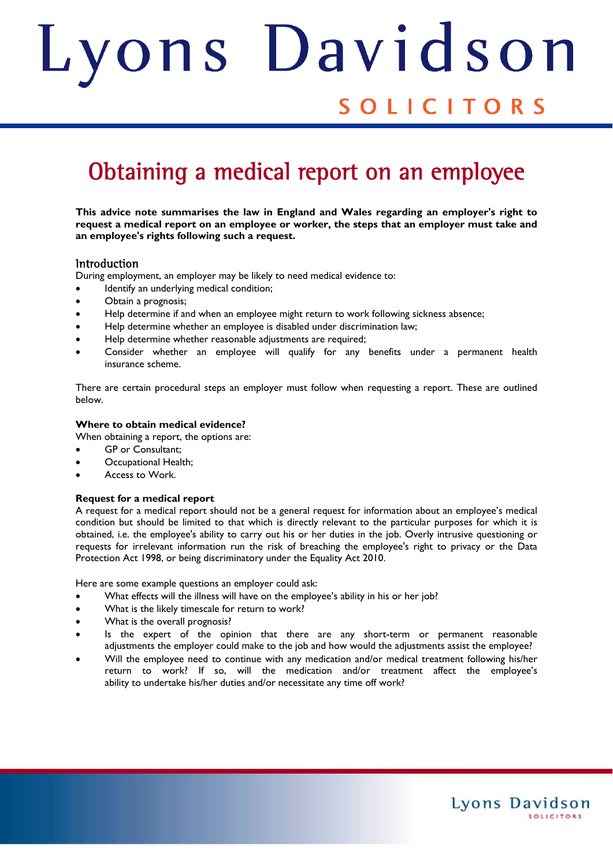# ons Davids Judith

### SOLICITORS

## Obtaining a medical report on an employee

**This advice note summarises the law in England and Wales regarding an employer's right to request a medical report on an employee or worker, the steps that an employer must take and an employee's rights following such a request.** 

#### **Introduction**

During employment, an employer may be likely to need medical evidence to:

- $\bullet$  ldentify an underlying medical condition;
- Obtain a prognosis;
- Help determine if and when an employee might return to work following sickness absence;
- Help determine whether an employee is disabled under discrimination law;
- Help determine whether reasonable adjustments are required;
- Consider whether an employee will qualify for any benefits under a permanent health insurance scheme.

There are certain procedural steps an employer must follow when requesting a report. These are outlined below.

#### **Where to obtain medical evidence?**

When obtaining a report, the options are:

- GP or Consultant;
- Occupational Health;
- Access to Work.

#### **Request for a medical report**

A request for a medical report should not be a general request for information about an employee's medical condition but should be limited to that which is directly relevant to the particular purposes for which it is obtained, i.e. the employee's ability to carry out his or her duties in the job. Overly intrusive questioning or requests for irrelevant information run the risk of breaching the employee's right to privacy or the Data Protection Act 1998, or being discriminatory under the Equality Act 2010.

Here are some example questions an employer could ask:

- What effects will the illness will have on the employee's ability in his or her job?
- What is the likely timescale for return to work?
- What is the overall prognosis?
- Is the expert of the opinion that there are any short-term or permanent reasonable adjustments the employer could make to the job and how would the adjustments assist the employee?
- Will the employee need to continue with any medication and/or medical treatment following his/her return to work? If so, will the medication and/or treatment affect the employee's ability to undertake his/her duties and/or necessitate any time off work?

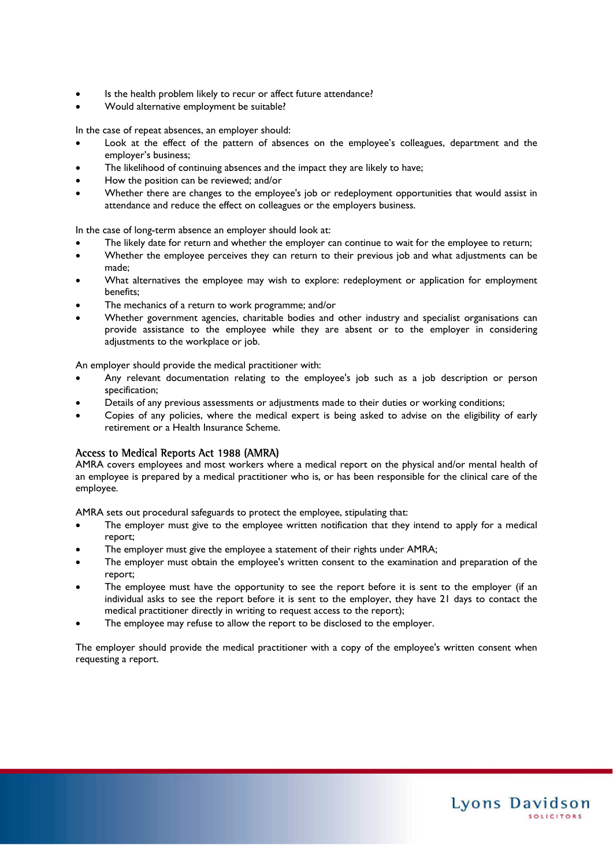- Is the health problem likely to recur or affect future attendance?
- Would alternative employment be suitable?

In the case of repeat absences, an employer should:

- Look at the effect of the pattern of absences on the employee's colleagues, department and the employer's business;
- The likelihood of continuing absences and the impact they are likely to have;
- How the position can be reviewed; and/or
- Whether there are changes to the employee's job or redeployment opportunities that would assist in attendance and reduce the effect on colleagues or the employers business.

In the case of long-term absence an employer should look at:

- The likely date for return and whether the employer can continue to wait for the employee to return;
- Whether the employee perceives they can return to their previous job and what adjustments can be made;
- What alternatives the employee may wish to explore: redeployment or application for employment benefits;
- The mechanics of a return to work programme; and/or
- Whether government agencies, charitable bodies and other industry and specialist organisations can provide assistance to the employee while they are absent or to the employer in considering adjustments to the workplace or job.

An employer should provide the medical practitioner with:

- Any relevant documentation relating to the employee's job such as a job description or person specification;
- Details of any previous assessments or adjustments made to their duties or working conditions;
- Copies of any policies, where the medical expert is being asked to advise on the eligibility of early retirement or a Health Insurance Scheme.

#### Access to Medical Reports Act 1988 (AMRA)

AMRA covers employees and most workers where a medical report on the physical and/or mental health of an employee is prepared by a medical practitioner who is, or has been responsible for the clinical care of the employee.

AMRA sets out procedural safeguards to protect the employee, stipulating that:

- The employer must give to the employee written notification that they intend to apply for a medical report;
- The employer must give the employee a statement of their rights under AMRA;
- The employer must obtain the employee's written consent to the examination and preparation of the report;
- The employee must have the opportunity to see the report before it is sent to the employer (if an individual asks to see the report before it is sent to the employer, they have 21 days to contact the medical practitioner directly in writing to request access to the report);
- The employee may refuse to allow the report to be disclosed to the employer.

The employer should provide the medical practitioner with a copy of the employee's written consent when requesting a report.

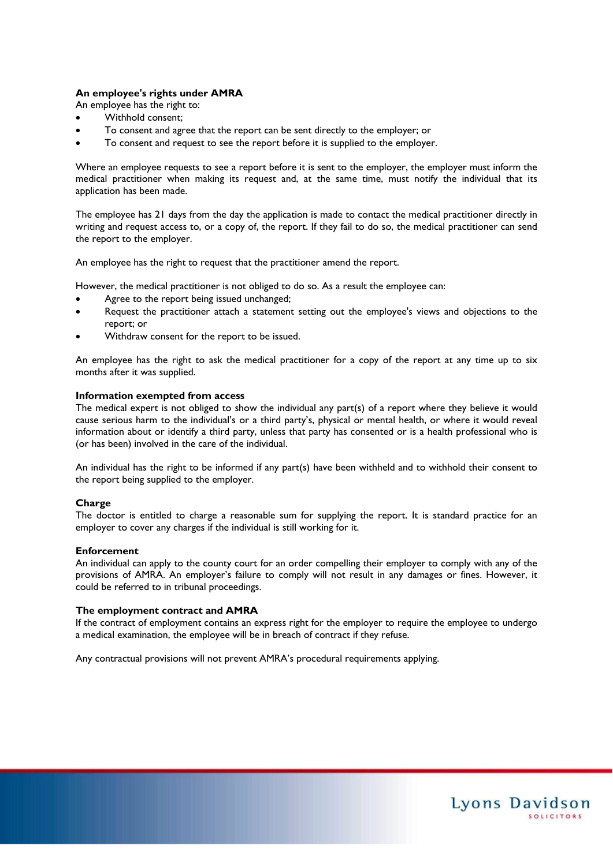#### **An employee's rights under AMRA**

An employee has the right to:

- Withhold consent;
- To consent and agree that the report can be sent directly to the employer; or
- To consent and request to see the report before it is supplied to the employer.

Where an employee requests to see a report before it is sent to the employer, the employer must inform the medical practitioner when making its request and, at the same time, must notify the individual that its application has been made.

The employee has 21 days from the day the application is made to contact the medical practitioner directly in writing and request access to, or a copy of, the report. If they fail to do so, the medical practitioner can send the report to the employer.

An employee has the right to request that the practitioner amend the report.

However, the medical practitioner is not obliged to do so. As a result the employee can:

- Agree to the report being issued unchanged;
- Request the practitioner attach a statement setting out the employee's views and objections to the report; or
- Withdraw consent for the report to be issued.

An employee has the right to ask the medical practitioner for a copy of the report at any time up to six months after it was supplied.

#### **Information exempted from access**

The medical expert is not obliged to show the individual any part(s) of a report where they believe it would cause serious harm to the individual's or a third party's, physical or mental health, or where it would reveal information about or identify a third party, unless that party has consented or is a health professional who is (or has been) involved in the care of the individual.

An individual has the right to be informed if any part(s) have been withheld and to withhold their consent to the report being supplied to the employer.

#### **Charge**

The doctor is entitled to charge a reasonable sum for supplying the report. It is standard practice for an employer to cover any charges if the individual is still working for it.

#### **Enforcement**

An individual can apply to the county court for an order compelling their employer to comply with any of the provisions of AMRA. An employer's failure to comply will not result in any damages or fines. However, it could be referred to in tribunal proceedings.

#### **The employment contract and AMRA**

If the contract of employment contains an express right for the employer to require the employee to undergo a medical examination, the employee will be in breach of contract if they refuse.

Any contractual provisions will not prevent AMRA's procedural requirements applying.